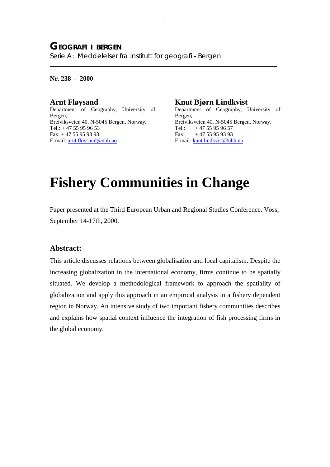**Nr. 238 - 2000**

 $\overline{a}$ 

**Arnt Fløysand** Department of Geography, University of Bergen, Breiviksveien 40, N-5045 Bergen, Norway. Tel.: + 47 55 95 96 53 Fax: + 47 55 95 93 93 E-mail: arnt.floysand@nhh.no

# **Knut Bjørn Lindkvist**

Department of Geography, University of Bergen, Breiviksveien 40, N-5045 Bergen, Norway. Tel.:  $+4755959657$ Fax:  $+4755959393$ E-mail: knut.lindkvist@nhh.no

# **Fishery Communities in Change**

Paper presented at the Third European Urban and Regional Studies Conference. Voss, September 14-17th, 2000.

## **Abstract:**

This article discusses relations between globalisation and local capitalism. Despite the increasing globalization in the international economy, firms continue to be spatially situated. We develop a methodological framework to approach the spatiality of globalization and apply this approach in an empirical analysis in a fishery dependent region in Norway. An intensive study of two important fishery communities describes and explains how spatial context influence the integration of fish processing firms in the global economy.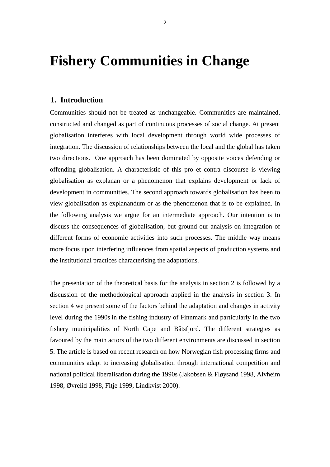# **Fishery Communities in Change**

# **1. Introduction**

Communities should not be treated as unchangeable. Communities are maintained, constructed and changed as part of continuous processes of social change. At present globalisation interferes with local development through world wide processes of integration. The discussion of relationships between the local and the global has taken two directions. One approach has been dominated by opposite voices defending or offending globalisation. A characteristic of this pro et contra discourse is viewing globalisation as explanan or a phenomenon that explains development or lack of development in communities. The second approach towards globalisation has been to view globalisation as explanandum or as the phenomenon that is to be explained. In the following analysis we argue for an intermediate approach. Our intention is to discuss the consequences of globalisation, but ground our analysis on integration of different forms of economic activities into such processes. The middle way means more focus upon interfering influences from spatial aspects of production systems and the institutional practices characterising the adaptations.

The presentation of the theoretical basis for the analysis in section 2 is followed by a discussion of the methodological approach applied in the analysis in section 3. In section 4 we present some of the factors behind the adaptation and changes in activity level during the 1990s in the fishing industry of Finnmark and particularly in the two fishery municipalities of North Cape and Båtsfjord. The different strategies as favoured by the main actors of the two different environments are discussed in section 5. The article is based on recent research on how Norwegian fish processing firms and communities adapt to increasing globalisation through international competition and national political liberalisation during the 1990s (Jakobsen & Fløysand 1998, Alvheim 1998, Øvrelid 1998, Fitje 1999, Lindkvist 2000).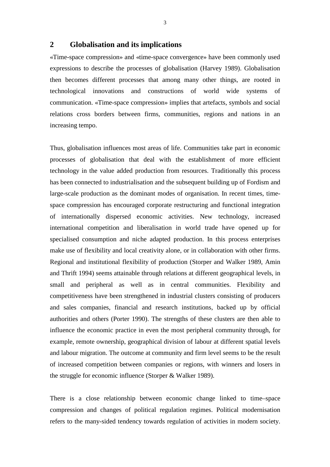# **2 Globalisation and its implications**

«Time-space compression» and «time-space convergence» have been commonly used expressions to describe the processes of globalisation (Harvey 1989). Globalisation then becomes different processes that among many other things, are rooted in technological innovations and constructions of world wide systems of communication. «Time-space compression» implies that artefacts, symbols and social relations cross borders between firms, communities, regions and nations in an increasing tempo.

Thus, globalisation influences most areas of life. Communities take part in economic processes of globalisation that deal with the establishment of more efficient technology in the value added production from resources. Traditionally this process has been connected to industrialisation and the subsequent building up of Fordism and large-scale production as the dominant modes of organisation. In recent times, timespace compression has encouraged corporate restructuring and functional integration of internationally dispersed economic activities. New technology, increased international competition and liberalisation in world trade have opened up for specialised consumption and niche adapted production. In this process enterprises make use of flexibility and local creativity alone, or in collaboration with other firms. Regional and institutional flexibility of production (Storper and Walker 1989, Amin and Thrift 1994) seems attainable through relations at different geographical levels, in small and peripheral as well as in central communities. Flexibility and competitiveness have been strengthened in industrial clusters consisting of producers and sales companies, financial and research institutions, backed up by official authorities and others (Porter 1990). The strengths of these clusters are then able to influence the economic practice in even the most peripheral community through, for example, remote ownership, geographical division of labour at different spatial levels and labour migration. The outcome at community and firm level seems to be the result of increased competition between companies or regions, with winners and losers in the struggle for economic influence (Storper & Walker 1989).

There is a close relationship between economic change linked to time–space compression and changes of political regulation regimes. Political modernisation refers to the many-sided tendency towards regulation of activities in modern society.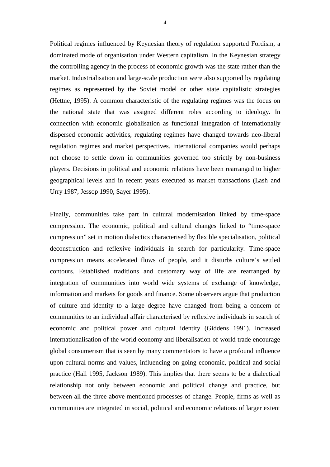Political regimes influenced by Keynesian theory of regulation supported Fordism, a dominated mode of organisation under Western capitalism. In the Keynesian strategy the controlling agency in the process of economic growth was the state rather than the market. Industrialisation and large-scale production were also supported by regulating regimes as represented by the Soviet model or other state capitalistic strategies (Hettne, 1995). A common characteristic of the regulating regimes was the focus on the national state that was assigned different roles according to ideology. In connection with economic globalisation as functional integration of internationally dispersed economic activities, regulating regimes have changed towards neo-liberal regulation regimes and market perspectives. International companies would perhaps not choose to settle down in communities governed too strictly by non-business players. Decisions in political and economic relations have been rearranged to higher geographical levels and in recent years executed as market transactions (Lash and Urry 1987, Jessop 1990, Sayer 1995).

Finally, communities take part in cultural modernisation linked by time-space compression. The economic, political and cultural changes linked to "time-space compression" set in motion dialectics characterised by flexible specialisation, political deconstruction and reflexive individuals in search for particularity. Time-space compression means accelerated flows of people, and it disturbs culture's settled contours. Established traditions and customary way of life are rearranged by integration of communities into world wide systems of exchange of knowledge, information and markets for goods and finance. Some observers argue that production of culture and identity to a large degree have changed from being a concern of communities to an individual affair characterised by reflexive individuals in search of economic and political power and cultural identity (Giddens 1991). Increased internationalisation of the world economy and liberalisation of world trade encourage global consumerism that is seen by many commentators to have a profound influence upon cultural norms and values, influencing on-going economic, political and social practice (Hall 1995, Jackson 1989). This implies that there seems to be a dialectical relationship not only between economic and political change and practice, but between all the three above mentioned processes of change. People, firms as well as communities are integrated in social, political and economic relations of larger extent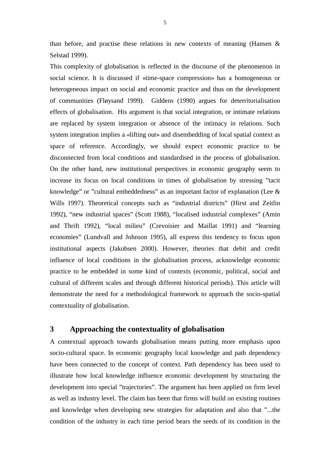than before, and practise these relations in new contexts of meaning (Hansen & Selstad 1999).

This complexity of globalisation is reflected in the discourse of the phenomenon in social science. It is discussed if «time-space compression» has a homogeneous or heterogeneous impact on social and economic practice and thus on the development of communities (Fløysand 1999). Giddens (1990) argues for deterritorialisation effects of globalisation. His argument is that social integration, or intimate relations are replaced by system integration or absence of the intimacy in relations. Such system integration implies a «lifting out» and disembedding of local spatial context as space of reference. Accordingly, we should expect economic practice to be disconnected from local conditions and standardised in the process of globalisation. On the other hand, new institutional perspectives in economic geography seem to increase its focus on local conditions in times of globalisation by stressing "tacit knowledge" or "cultural embeddedness" as an important factor of explanation (Lee & Wills 1997). Theoretical concepts such as "industrial districts" (Hirst and Zeitlin 1992), "new industrial spaces" (Scott 1988), "localised industrial complexes" (Amin and Thrift 1992), "local milieu" (Crevoisier and Maillat 1991) and "learning economies" (Lundvall and Johnson 1995), all express this tendency to focus upon institutional aspects (Jakobsen 2000). However, theories that debit and credit influence of local conditions in the globalisation process, acknowledge economic practice to be embedded in some kind of contexts (economic, political, social and cultural of different scales and through different historical periods). This article will demonstrate the need for a methodological framework to approach the socio-spatial contextuality of globalisation.

# **3 Approaching the contextuality of globalisation**

A contextual approach towards globalisation means putting more emphasis upon socio-cultural space. In economic geography local knowledge and path dependency have been connected to the concept of context. Path dependency has been used to illustrate how local knowledge influence economic development by structuring the development into special "trajectories". The argument has been applied on firm level as well as industry level. The claim has been that firms will build on existing routines and knowledge when developing new strategies for adaptation and also that "...the condition of the industry in each time period bears the seeds of its condition in the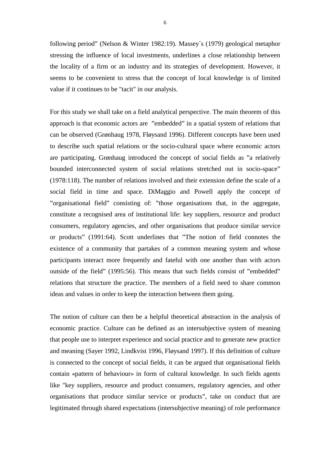following period" (Nelson & Winter 1982:19). Massey´s (1979) geological metaphor stressing the influence of local investments, underlines a close relationship between the locality of a firm or an industry and its strategies of development. However, it seems to be convenient to stress that the concept of local knowledge is of limited value if it continues to be "tacit" in our analysis.

For this study we shall take on a field analytical perspective. The main theorem of this approach is that economic actors are "embedded" in a spatial system of relations that can be observed (Grønhaug 1978, Fløysand 1996). Different concepts have been used to describe such spatial relations or the socio-cultural space where economic actors are participating. Grønhaug introduced the concept of social fields as "a relatively bounded interconnected system of social relations stretched out in socio-space" (1978:118). The number of relations involved and their extension define the scale of a social field in time and space. DiMaggio and Powell apply the concept of "organisational field" consisting of: "those organisations that, in the aggregate, constitute a recognised area of institutional life: key suppliers, resource and product consumers, regulatory agencies, and other organisations that produce similar service or products" (1991:64). Scott underlines that "The notion of field connotes the existence of a community that partakes of a common meaning system and whose participants interact more frequently and fateful with one another than with actors outside of the field" (1995:56). This means that such fields consist of "embedded" relations that structure the practice. The members of a field need to share common ideas and values in order to keep the interaction between them going.

The notion of culture can then be a helpful theoretical abstraction in the analysis of economic practice. Culture can be defined as an intersubjective system of meaning that people use to interpret experience and social practice and to generate new practice and meaning (Sayer 1992, Lindkvist 1996, Fløysand 1997). If this definition of culture is connected to the concept of social fields*,* it can be argued that organisational fields contain «pattern of behaviour» in form of cultural knowledge*.* In such fields agents like "key suppliers, resource and product consumers, regulatory agencies, and other organisations that produce similar service or products", take on conduct that are legitimated through shared expectations (intersubjective meaning) of role performance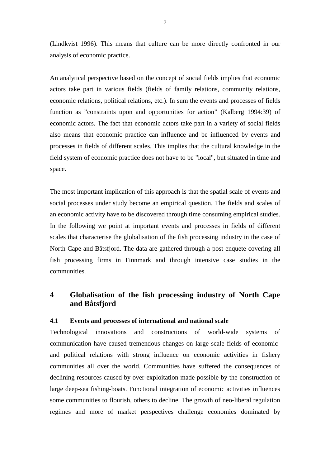(Lindkvist 1996). This means that culture can be more directly confronted in our analysis of economic practice.

An analytical perspective based on the concept of social fields implies that economic actors take part in various fields (fields of family relations, community relations, economic relations, political relations, etc.). In sum the events and processes of fields function as "constraints upon and opportunities for action" (Kalberg 1994:39) of economic actors. The fact that economic actors take part in a variety of social fields also means that economic practice can influence and be influenced by events and processes in fields of different scales. This implies that the cultural knowledge in the field system of economic practice does not have to be "local", but situated in time and space.

The most important implication of this approach is that the spatial scale of events and social processes under study become an empirical question. The fields and scales of an economic activity have to be discovered through time consuming empirical studies. In the following we point at important events and processes in fields of different scales that characterise the globalisation of the fish processing industry in the case of North Cape and Båtsfjord. The data are gathered through a post enquete covering all fish processing firms in Finnmark and through intensive case studies in the communities.

# **4 Globalisation of the fish processing industry of North Cape and Båtsfjord**

#### **4.1 Events and processes of international and national scale**

Technological innovations and constructions of world-wide systems of communication have caused tremendous changes on large scale fields of economicand political relations with strong influence on economic activities in fishery communities all over the world. Communities have suffered the consequences of declining resources caused by over-exploitation made possible by the construction of large deep-sea fishing-boats. Functional integration of economic activities influences some communities to flourish, others to decline. The growth of neo-liberal regulation regimes and more of market perspectives challenge economies dominated by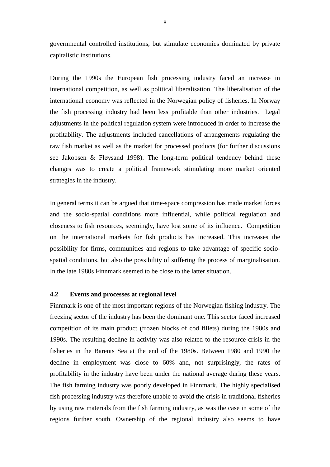governmental controlled institutions, but stimulate economies dominated by private capitalistic institutions.

During the 1990s the European fish processing industry faced an increase in international competition, as well as political liberalisation. The liberalisation of the international economy was reflected in the Norwegian policy of fisheries. In Norway the fish processing industry had been less profitable than other industries. Legal adjustments in the political regulation system were introduced in order to increase the profitability. The adjustments included cancellations of arrangements regulating the raw fish market as well as the market for processed products (for further discussions see Jakobsen & Fløysand 1998). The long-term political tendency behind these changes was to create a political framework stimulating more market oriented strategies in the industry.

In general terms it can be argued that time-space compression has made market forces and the socio-spatial conditions more influential, while political regulation and closeness to fish resources, seemingly, have lost some of its influence. Competition on the international markets for fish products has increased. This increases the possibility for firms, communities and regions to take advantage of specific sociospatial conditions, but also the possibility of suffering the process of marginalisation. In the late 1980s Finnmark seemed to be close to the latter situation.

#### **4.2 Events and processes at regional level**

Finnmark is one of the most important regions of the Norwegian fishing industry. The freezing sector of the industry has been the dominant one. This sector faced increased competition of its main product (frozen blocks of cod fillets) during the 1980s and 1990s. The resulting decline in activity was also related to the resource crisis in the fisheries in the Barents Sea at the end of the 1980s. Between 1980 and 1990 the decline in employment was close to 60% and, not surprisingly, the rates of profitability in the industry have been under the national average during these years. The fish farming industry was poorly developed in Finnmark. The highly specialised fish processing industry was therefore unable to avoid the crisis in traditional fisheries by using raw materials from the fish farming industry, as was the case in some of the regions further south. Ownership of the regional industry also seems to have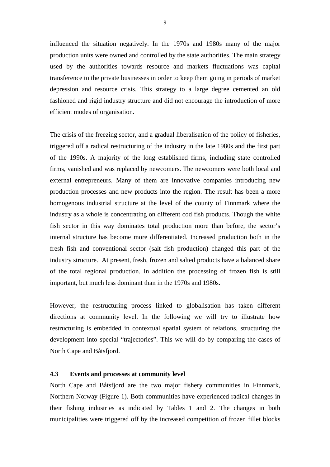influenced the situation negatively. In the 1970s and 1980s many of the major production units were owned and controlled by the state authorities. The main strategy used by the authorities towards resource and markets fluctuations was capital transference to the private businesses in order to keep them going in periods of market depression and resource crisis. This strategy to a large degree cemented an old fashioned and rigid industry structure and did not encourage the introduction of more efficient modes of organisation.

The crisis of the freezing sector, and a gradual liberalisation of the policy of fisheries, triggered off a radical restructuring of the industry in the late 1980s and the first part of the 1990s. A majority of the long established firms, including state controlled firms, vanished and was replaced by newcomers. The newcomers were both local and external entrepreneurs. Many of them are innovative companies introducing new production processes and new products into the region. The result has been a more homogenous industrial structure at the level of the county of Finnmark where the industry as a whole is concentrating on different cod fish products. Though the white fish sector in this way dominates total production more than before, the sector's internal structure has become more differentiated. Increased production both in the fresh fish and conventional sector (salt fish production) changed this part of the industry structure. At present, fresh, frozen and salted products have a balanced share of the total regional production. In addition the processing of frozen fish is still important, but much less dominant than in the 1970s and 1980s.

However, the restructuring process linked to globalisation has taken different directions at community level. In the following we will try to illustrate how restructuring is embedded in contextual spatial system of relations, structuring the development into special "trajectories". This we will do by comparing the cases of North Cape and Båtsfjord.

#### **4.3 Events and processes at community level**

North Cape and Båtsfjord are the two major fishery communities in Finnmark, Northern Norway (Figure 1). Both communities have experienced radical changes in their fishing industries as indicated by Tables 1 and 2. The changes in both municipalities were triggered off by the increased competition of frozen fillet blocks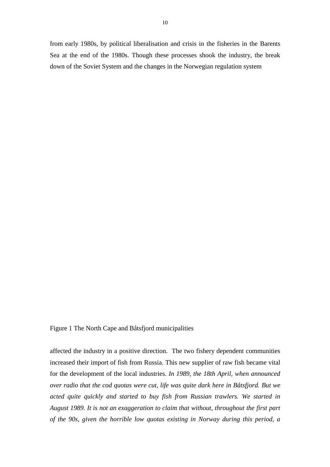from early 1980s, by political liberalisation and crisis in the fisheries in the Barents Sea at the end of the 1980s. Though these processes shook the industry, the break down of the Soviet System and the changes in the Norwegian regulation system

Figure 1 The North Cape and Båtsfjord municipalities

affected the industry in a positive direction. The two fishery dependent communities increased their import of fish from Russia. This new supplier of raw fish became vital for the development of the local industries. *In 1989, the 18th April, when announced over radio that the cod quotas were cut, life was quite dark here in Båtsfjord. But we acted quite quickly and started to buy fish from Russian trawlers. We started in August 1989. It is not an exaggeration to claim that without, throughout the first part of the 90s, given the horrible low quotas existing in Norway during this period, a*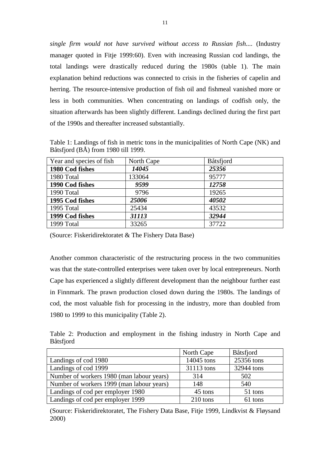*single firm would not have survived without access to Russian fish....* (Industry manager quoted in Fitje 1999:60). Even with increasing Russian cod landings, the total landings were drastically reduced during the 1980s (table 1). The main explanation behind reductions was connected to crisis in the fisheries of capelin and herring. The resource-intensive production of fish oil and fishmeal vanished more or less in both communities. When concentrating on landings of codfish only, the situation afterwards has been slightly different. Landings declined during the first part of the 1990s and thereafter increased substantially.

Table 1: Landings of fish in metric tons in the municipalities of North Cape (NK) and Båtsfjord (BÅ) from 1980 till 1999.

| Year and species of fish | North Cape | Båtsfjord |
|--------------------------|------------|-----------|
| 1980 Cod fishes          | 14045      | 25356     |
| 1980 Total               | 133064     | 95777     |
| 1990 Cod fishes          | 9599       | 12758     |
| 1990 Total               | 9796       | 19265     |
| 1995 Cod fishes          | 25006      | 40502     |
| 1995 Total               | 25434      | 43532     |
| 1999 Cod fishes          | 31113      | 32944     |
| 1999 Total               | 33265      | 37722     |

(Source: Fiskeridirektoratet & The Fishery Data Base)

Another common characteristic of the restructuring process in the two communities was that the state-controlled enterprises were taken over by local entrepreneurs. North Cape has experienced a slightly different development than the neighbour further east in Finnmark. The prawn production closed down during the 1980s. The landings of cod, the most valuable fish for processing in the industry, more than doubled from 1980 to 1999 to this municipality (Table 2).

Table 2: Production and employment in the fishing industry in North Cape and Båtsfjord

|                                           | North Cape | <b>Båtsfjord</b> |
|-------------------------------------------|------------|------------------|
| Landings of cod 1980                      | 14045 tons | 25356 tons       |
| Landings of cod 1999                      | 31113 tons | 32944 tons       |
| Number of workers 1980 (man labour years) | 314        | 502              |
| Number of workers 1999 (man labour years) | 148        | 540              |
| Landings of cod per employer 1980         | 45 tons    | 51 tons          |
| Landings of cod per employer 1999         | 210 tons   | 61 tons          |

(Source: Fiskeridirektoratet, The Fishery Data Base, Fitje 1999, Lindkvist & Fløysand 2000)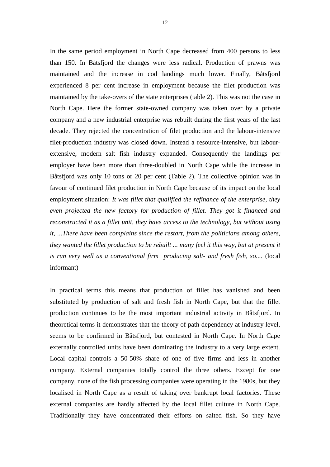In the same period employment in North Cape decreased from 400 persons to less than 150. In Båtsfjord the changes were less radical. Production of prawns was maintained and the increase in cod landings much lower. Finally, Båtsfjord experienced 8 per cent increase in employment because the filet production was maintained by the take-overs of the state enterprises (table 2). This was not the case in North Cape. Here the former state-owned company was taken over by a private company and a new industrial enterprise was rebuilt during the first years of the last decade. They rejected the concentration of filet production and the labour-intensive filet-production industry was closed down. Instead a resource-intensive, but labourextensive, modern salt fish industry expanded. Consequently the landings per employer have been more than three-doubled in North Cape while the increase in Båtsfjord was only 10 tons or 20 per cent (Table 2). The collective opinion was in favour of continued filet production in North Cape because of its impact on the local employment situation: *It was fillet that qualified the refinance of the enterprise, they even projected the new factory for production of fillet. They got it financed and reconstructed it as a fillet unit, they have access to the technology, but without using it, ...There have been complains since the restart, from the politicians among others, they wanted the fillet production to be rebuilt ... many feel it this way, but at present it is run very well as a conventional firm producing salt- and fresh fish, so....* (local informant)

In practical terms this means that production of fillet has vanished and been substituted by production of salt and fresh fish in North Cape, but that the fillet production continues to be the most important industrial activity in Båtsfjord. In theoretical terms it demonstrates that the theory of path dependency at industry level, seems to be confirmed in Båtsfjord, but contested in North Cape. In North Cape externally controlled units have been dominating the industry to a very large extent. Local capital controls a 50-50% share of one of five firms and less in another company. External companies totally control the three others. Except for one company, none of the fish processing companies were operating in the 1980s, but they localised in North Cape as a result of taking over bankrupt local factories. These external companies are hardly affected by the local fillet culture in North Cape. Traditionally they have concentrated their efforts on salted fish. So they have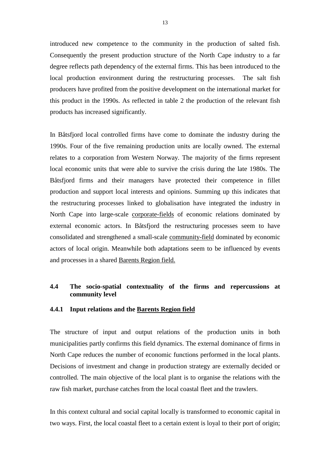introduced new competence to the community in the production of salted fish. Consequently the present production structure of the North Cape industry to a far degree reflects path dependency of the external firms. This has been introduced to the local production environment during the restructuring processes. The salt fish producers have profited from the positive development on the international market for this product in the 1990s. As reflected in table 2 the production of the relevant fish products has increased significantly.

In Båtsfjord local controlled firms have come to dominate the industry during the 1990s. Four of the five remaining production units are locally owned. The external relates to a corporation from Western Norway. The majority of the firms represent local economic units that were able to survive the crisis during the late 1980s. The Båtsfjord firms and their managers have protected their competence in fillet production and support local interests and opinions. Summing up this indicates that the restructuring processes linked to globalisation have integrated the industry in North Cape into large-scale corporate-fields of economic relations dominated by external economic actors. In Båtsfjord the restructuring processes seem to have consolidated and strengthened a small-scale community-field dominated by economic actors of local origin. Meanwhile both adaptations seem to be influenced by events and processes in a shared Barents Region field.

#### **4.4 The socio-spatial contextuality of the firms and repercussions at community level**

#### **4.4.1 Input relations and the Barents Region field**

The structure of input and output relations of the production units in both municipalities partly confirms this field dynamics. The external dominance of firms in North Cape reduces the number of economic functions performed in the local plants. Decisions of investment and change in production strategy are externally decided or controlled. The main objective of the local plant is to organise the relations with the raw fish market, purchase catches from the local coastal fleet and the trawlers.

In this context cultural and social capital locally is transformed to economic capital in two ways. First, the local coastal fleet to a certain extent is loyal to their port of origin;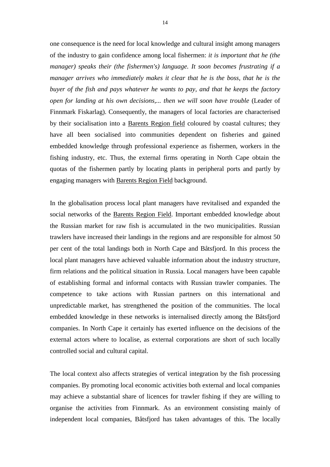one consequence is the need for local knowledge and cultural insight among managers of the industry to gain confidence among local fishermen: *it is important that he (the manager) speaks their (the fishermen's) language. It soon becomes frustrating if a manager arrives who immediately makes it clear that he is the boss, that he is the buyer of the fish and pays whatever he wants to pay, and that he keeps the factory open for landing at his own decisions,... then we will soon have trouble* (Leader of Finnmark Fiskarlag). Consequently, the managers of local factories are characterised by their socialisation into a Barents Region field coloured by coastal cultures; they have all been socialised into communities dependent on fisheries and gained embedded knowledge through professional experience as fishermen, workers in the fishing industry, etc. Thus, the external firms operating in North Cape obtain the quotas of the fishermen partly by locating plants in peripheral ports and partly by engaging managers with Barents Region Field background.

In the globalisation process local plant managers have revitalised and expanded the social networks of the Barents Region Field. Important embedded knowledge about the Russian market for raw fish is accumulated in the two municipalities. Russian trawlers have increased their landings in the regions and are responsible for almost 50 per cent of the total landings both in North Cape and Båtsfjord. In this process the local plant managers have achieved valuable information about the industry structure, firm relations and the political situation in Russia. Local managers have been capable of establishing formal and informal contacts with Russian trawler companies. The competence to take actions with Russian partners on this international and unpredictable market, has strengthened the position of the communities. The local embedded knowledge in these networks is internalised directly among the Båtsfjord companies. In North Cape it certainly has exerted influence on the decisions of the external actors where to localise, as external corporations are short of such locally controlled social and cultural capital.

The local context also affects strategies of vertical integration by the fish processing companies. By promoting local economic activities both external and local companies may achieve a substantial share of licences for trawler fishing if they are willing to organise the activities from Finnmark. As an environment consisting mainly of independent local companies, Båtsfjord has taken advantages of this. The locally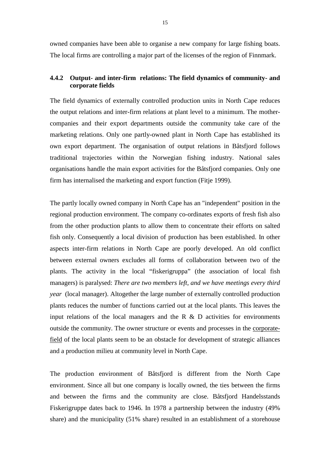owned companies have been able to organise a new company for large fishing boats. The local firms are controlling a major part of the licenses of the region of Finnmark.

#### **4.4.2 Output- and inter-firm relations: The field dynamics of community- and corporate fields**

The field dynamics of externally controlled production units in North Cape reduces the output relations and inter-firm relations at plant level to a minimum. The mothercompanies and their export departments outside the community take care of the marketing relations. Only one partly-owned plant in North Cape has established its own export department. The organisation of output relations in Båtsfjord follows traditional trajectories within the Norwegian fishing industry. National sales organisations handle the main export activities for the Båtsfjord companies. Only one firm has internalised the marketing and export function (Fitje 1999).

The partly locally owned company in North Cape has an "independent" position in the regional production environment. The company co-ordinates exports of fresh fish also from the other production plants to allow them to concentrate their efforts on salted fish only. Consequently a local division of production has been established. In other aspects inter-firm relations in North Cape are poorly developed. An old conflict between external owners excludes all forms of collaboration between two of the plants. The activity in the local "fiskerigruppa" (the association of local fish managers) is paralysed: *There are two members left, and we have meetings every third year* (local manager). Altogether the large number of externally controlled production plants reduces the number of functions carried out at the local plants. This leaves the input relations of the local managers and the R  $\&$  D activities for environments outside the community. The owner structure or events and processes in the corporatefield of the local plants seem to be an obstacle for development of strategic alliances and a production milieu at community level in North Cape.

The production environment of Båtsfjord is different from the North Cape environment. Since all but one company is locally owned, the ties between the firms and between the firms and the community are close. Båtsfjord Handelsstands Fiskerigruppe dates back to 1946. In 1978 a partnership between the industry (49% share) and the municipality (51% share) resulted in an establishment of a storehouse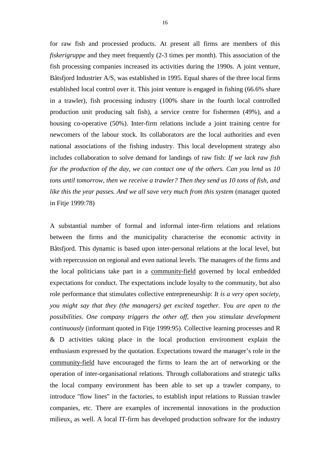for raw fish and processed products. At present all firms are members of this *fiskerigruppe* and they meet frequently (2-3 times per month). This association of the fish processing companies increased its activities during the 1990s. A joint venture, Båtsfjord Industrier A/S, was established in 1995. Equal shares of the three local firms established local control over it. This joint venture is engaged in fishing (66.6% share in a trawler), fish processing industry (100% share in the fourth local controlled production unit producing salt fish), a service centre for fishermen (49%), and a housing co-operative (50%). Inter-firm relations include a joint training centre for newcomers of the labour stock. Its collaborators are the local authorities and even national associations of the fishing industry. This local development strategy also includes collaboration to solve demand for landings of raw fish: *If we lack raw fish for the production of the day, we can contact one of the others. Can you lend us 10 tons until tomorrow, then we receive a trawler? Then they send us 10 tons of fish, and like this the year passes. And we all save very much from this system (manager quoted* in Fitje 1999:78)

A substantial number of formal and informal inter-firm relations and relations between the firms and the municipality characterise the economic activity in Båtsfjord. This dynamic is based upon inter-personal relations at the local level, but with repercussion on regional and even national levels. The managers of the firms and the local politicians take part in a community-field governed by local embedded expectations for conduct. The expectations include loyalty to the community, but also role performance that stimulates collective entrepreneurship: *It is a very open society, you might say that they (the managers) get excited together. You are open to the possibilities. One company triggers the other off, then you stimulate development continuously* (informant quoted in Fitje 1999:95). Collective learning processes and R & D activities taking place in the local production environment explain the enthusiasm expressed by the quotation. Expectations toward the manager's role in the community-field have encouraged the firms to learn the art of networking or the operation of inter-organisational relations. Through collaborations and strategic talks the local company environment has been able to set up a trawler company, to introduce "flow lines" in the factories, to establish input relations to Russian trawler companies, etc. There are examples of incremental innovations in the production milieux, as well. A local IT-firm has developed production software for the industry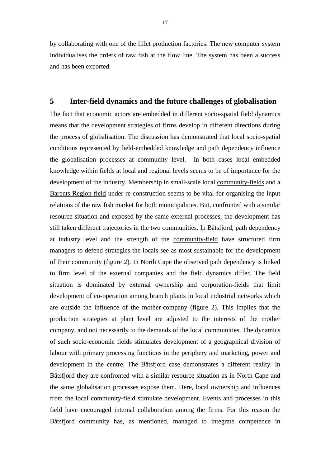by collaborating with one of the fillet production factories. The new computer system individualises the orders of raw fish at the flow line. The system has been a success and has been exported.

#### **5 Inter-field dynamics and the future challenges of globalisation**

The fact that economic actors are embedded in different socio-spatial field dynamics means that the development strategies of firms develop in different directions during the process of globalisation. The discussion has demonstrated that local socio-spatial conditions represented by field-embedded knowledge and path dependency influence the globalisation processes at community level. In both cases local embedded knowledge within fields at local and regional levels seems to be of importance for the development of the industry. Membership in small-scale local community-fields and a Barents Region field under re-construction seems to be vital for organising the input relations of the raw fish market for both municipalities. But, confronted with a similar resource situation and exposed by the same external processes, the development has still taken different trajectories in the two communities. In Båtsfjord, path dependency at industry level and the strength of the community-field have structured firm managers to defend strategies the locals see as most sustainable for the development of their community (figure 2). In North Cape the observed path dependency is linked to firm level of the external companies and the field dynamics differ. The field situation is dominated by external ownership and corporation-fields that limit development of co-operation among branch plants in local industrial networks which are outside the influence of the mother-company (figure 2). This implies that the production strategies at plant level are adjusted to the interests of the mother company, and not necessarily to the demands of the local communities. The dynamics of such socio-economic fields stimulates development of a geographical division of labour with primary processing functions in the periphery and marketing, power and development in the centre. The Båtsfjord case demonstrates a different reality. In Båtsfjord they are confronted with a similar resource situation as in North Cape and the same globalisation processes expose them. Here, local ownership and influences from the local community-field stimulate development. Events and processes in this field have encouraged internal collaboration among the firms. For this reason the Båtsfjord community has, as mentioned, managed to integrate competence in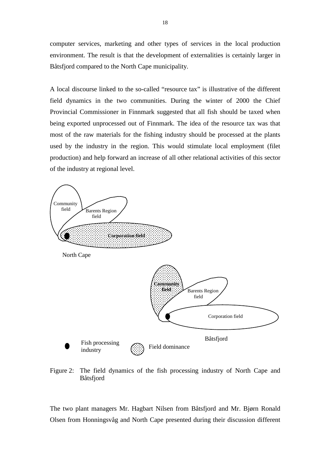computer services, marketing and other types of services in the local production environment. The result is that the development of externalities is certainly larger in Båtsfjord compared to the North Cape municipality.

A local discourse linked to the so-called "resource tax" is illustrative of the different field dynamics in the two communities. During the winter of 2000 the Chief Provincial Commissioner in Finnmark suggested that all fish should be taxed when being exported unprocessed out of Finnmark. The idea of the resource tax was that most of the raw materials for the fishing industry should be processed at the plants used by the industry in the region. This would stimulate local employment (filet production) and help forward an increase of all other relational activities of this sector of the industry at regional level.



Figure 2: The field dynamics of the fish processing industry of North Cape and Båtsfjord

The two plant managers Mr. Hagbart Nilsen from Båtsfjord and Mr. Bjørn Ronald Olsen from Honningsvåg and North Cape presented during their discussion different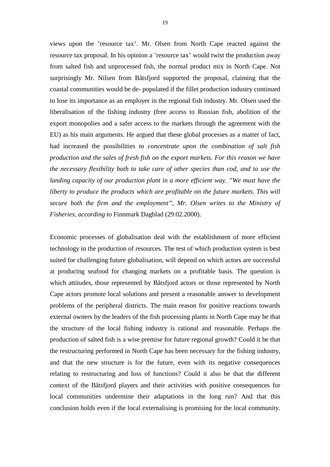views upon the 'resource tax'. Mr. Olsen from North Cape reacted against the resource tax proposal. In his opinion a 'resource tax' would twist the production away from salted fish and unprocessed fish, the normal product mix in North Cape. Not surprisingly Mr. Nilsen from Båtsfjord supported the proposal, claiming that the coastal communities would be de- populated if the fillet production industry continued to lose its importance as an employer in the regional fish industry. Mr. Olsen used the liberalisation of the fishing industry (free access to Russian fish, abolition of the export monopolies and a safer access to the markets through the agreement with the EU) as his main arguments. He argued that these global processes as a matter of fact, had increased the possibilities *to concentrate upon the combination of salt fish production and the sales of fresh fish on the export markets. For this reason we have the necessary flexibility both to take care of other species than cod, and to use the landing capacity of our production plant in a more efficient way. "We must have the liberty to produce the products which are profitable on the future markets. This will secure both the firm and the employment", Mr. Olsen writes to the Ministry of Fisheries, according to* Finnmark Dagblad (29.02.2000).

Economic processes of globalisation deal with the establishment of more efficient technology in the production of resources. The test of which production system is best suited for challenging future globalisation, will depend on which actors are successful at producing seafood for changing markets on a profitable basis. The question is which attitudes, those represented by Båtsfjord actors or those represented by North Cape actors promote local solutions and present a reasonable answer to development problems of the peripheral districts. The main reason for positive reactions towards external owners by the leaders of the fish processing plants in North Cape may be that the structure of the local fishing industry is rational and reasonable. Perhaps the production of salted fish is a wise premise for future regional growth? Could it be that the restructuring performed in North Cape has been necessary for the fishing industry, and that the new structure is for the future, even with its negative consequences relating to restructuring and loss of functions? Could it also be that the different context of the Båtsfjord players and their activities with positive consequences for local communities undermine their adaptations in the long run? And that this conclusion holds even if the local externalising is promising for the local community.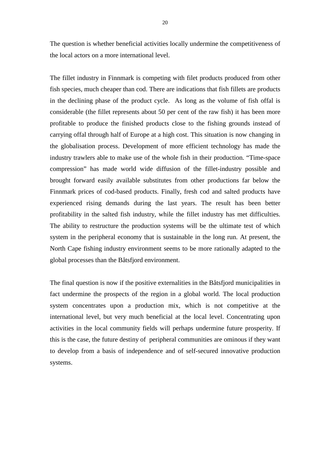The question is whether beneficial activities locally undermine the competitiveness of the local actors on a more international level.

The fillet industry in Finnmark is competing with filet products produced from other fish species, much cheaper than cod. There are indications that fish fillets are products in the declining phase of the product cycle. As long as the volume of fish offal is considerable (the fillet represents about 50 per cent of the raw fish) it has been more profitable to produce the finished products close to the fishing grounds instead of carrying offal through half of Europe at a high cost. This situation is now changing in the globalisation process. Development of more efficient technology has made the industry trawlers able to make use of the whole fish in their production. "Time-space compression" has made world wide diffusion of the fillet-industry possible and brought forward easily available substitutes from other productions far below the Finnmark prices of cod-based products. Finally, fresh cod and salted products have experienced rising demands during the last years. The result has been better profitability in the salted fish industry, while the fillet industry has met difficulties. The ability to restructure the production systems will be the ultimate test of which system in the peripheral economy that is sustainable in the long run. At present, the North Cape fishing industry environment seems to be more rationally adapted to the global processes than the Båtsfjord environment.

The final question is now if the positive externalities in the Båtsfjord municipalities in fact undermine the prospects of the region in a global world. The local production system concentrates upon a production mix, which is not competitive at the international level, but very much beneficial at the local level. Concentrating upon activities in the local community fields will perhaps undermine future prosperity. If this is the case, the future destiny of peripheral communities are ominous if they want to develop from a basis of independence and of self-secured innovative production systems.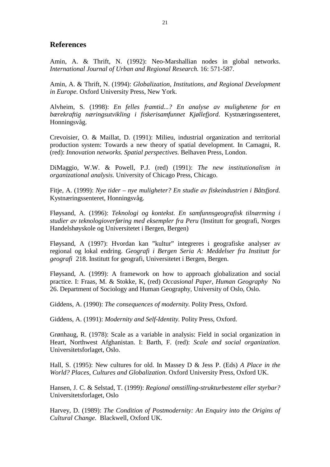#### **References**

Amin, A. & Thrift, N. (1992): Neo-Marshallian nodes in global networks. *International Journal of Urban and Regional Research.* 16: 571-587.

Amin, A. & Thrift, N. (1994): *Globalization, Institutions, and Regional Development in Europe.* Oxford University Press, New York.

Alvheim, S. (1998): *En felles framtid...? En analyse av mulighetene for en bærekraftig næringsutvikling i fiskerisamfunnet Kjøllefjord*. Kystnæringssenteret, Honningsvåg.

Crevoisier, O. & Maillat, D. (1991): Milieu, industrial organization and territorial production system: Towards a new theory of spatial development. In Camagni, R. (red): *Innovation networks. Spatial perspectives.* Belhaven Press, London.

DiMaggio, W.W. & Powell, P.J. (red) (1991): *The new institutionalism in organizational analysis.* University of Chicago Press, Chicago.

Fitje, A. (1999): *Nye tider – nye muligheter? En studie av fiskeindustrien i Båtsfjord.* Kystnæringssenteret, Honningsvåg.

Fløysand, A. (1996): *Teknologi og kontekst. En samfunnsgeografisk tilnærming i studier av teknologioverføring med eksempler fra Peru* (Institutt for geografi, Norges Handelshøyskole og Universitetet i Bergen, Bergen)

Fløysand, A (1997): Hvordan kan "kultur" integreres i geografiske analyser av regional og lokal endring. *Geografi i Bergen Seria A: Meddelser fra Institutt for geografi* 218. Institutt for geografi, Universitetet i Bergen, Bergen.

Fløysand, A. (1999): A framework on how to approach globalization and social practice. I: Fraas, M. & Stokke, K, (red) *Occasional Paper, Human Geography* No 26. Department of Sociology and Human Geography, University of Oslo, Oslo.

Giddens, A. (1990): *The consequences of modernity.* Polity Press, Oxford.

Giddens, A. (1991): *Modernity and Self-Identity.* Polity Press, Oxford.

Grønhaug, R. (1978): Scale as a variable in analysis: Field in social organization in Heart, Northwest Afghanistan. I: Barth, F. (red): *Scale and social organization.* Universitetsforlaget, Oslo.

Hall, S. (1995): New cultures for old. In Massey D & Jess P. (Eds) *A Place in the World? Places, Cultures and Globalization.* Oxford University Press, Oxford UK.

Hansen, J. C. & Selstad, T. (1999): *Regional omstilling-strukturbestemt eller styrbar?* Universitetsforlaget, Oslo

Harvey, D. (1989): *The Condition of Postmodernity: An Enquiry into the Origins of Cultural Change.* Blackwell, Oxford UK.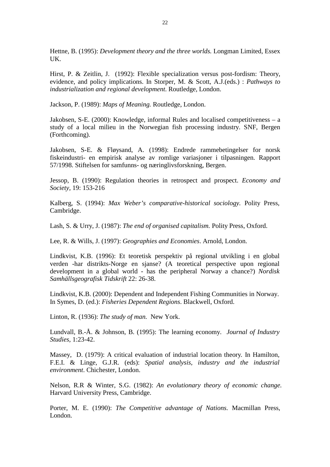Hettne, B. (1995): *Development theory and the three worlds.* Longman Limited, Essex UK.

Hirst, P. & Zeitlin, J. (1992): Flexible specialization versus post-fordism: Theory, evidence, and policy implications. In Storper, M. & Scott, A.J.(eds.) : *Pathways to industrialization and regional development*. Routledge, London.

Jackson, P. (1989): *Maps of Meaning.* Routledge, London.

Jakobsen, S-E. (2000): Knowledge, informal Rules and localised competitiveness – a study of a local milieu in the Norwegian fish processing industry. SNF, Bergen (Forthcoming).

Jakobsen, S-E. & Fløysand, A. (1998): Endrede rammebetingelser for norsk fiskeindustri- en empirisk analyse av romlige variasjoner i tilpasningen*.* Rapport 57/1998. Stiftelsen for samfunns- og næringlivsforskning, Bergen.

Jessop, B. (1990): Regulation theories in retrospect and prospect. *Economy and Society,* 19: 153-216

Kalberg, S. (1994): *Max Weber's comparative-historical sociology.* Polity Press, Cambridge.

Lash, S. & Urry, J. (1987): *The end of organised capitalism.* Polity Press, Oxford.

Lee, R. & Wills, J. (1997): *Geographies and Economies*. Arnold, London.

Lindkvist, K.B. (1996): Et teoretisk perspektiv på regional utvikling i en global verden -har distrikts-Norge en sjanse? (A teoretical perspective upon regional development in a global world - has the peripheral Norway a chance?) *Nordisk Samhällsgeografisk Tidskrift* 22: 26-38.

Lindkvist, K.B. (2000): Dependent and Independent Fishing Communities in Norway. In Symes, D. (ed.): *Fisheries Dependent Regions*. Blackwell, Oxford.

Linton, R. (1936): *The study of man.* New York.

Lundvall, B.-Å. & Johnson, B. (1995): The learning economy. *Journal of Industry Studies,* 1:23-42.

Massey, D. (1979): A critical evaluation of industrial location theory*.* In Hamilton, F.E.I. & Linge, G.J.R. (eds): *Spatial analysis, industry and the industrial environment*. Chichester, London.

Nelson, R.R & Winter, S.G. (1982): *An evolutionary theory of economic change.* Harvard University Press, Cambridge.

Porter, M. E. (1990): *The Competitive advantage of Nations.* Macmillan Press, London.